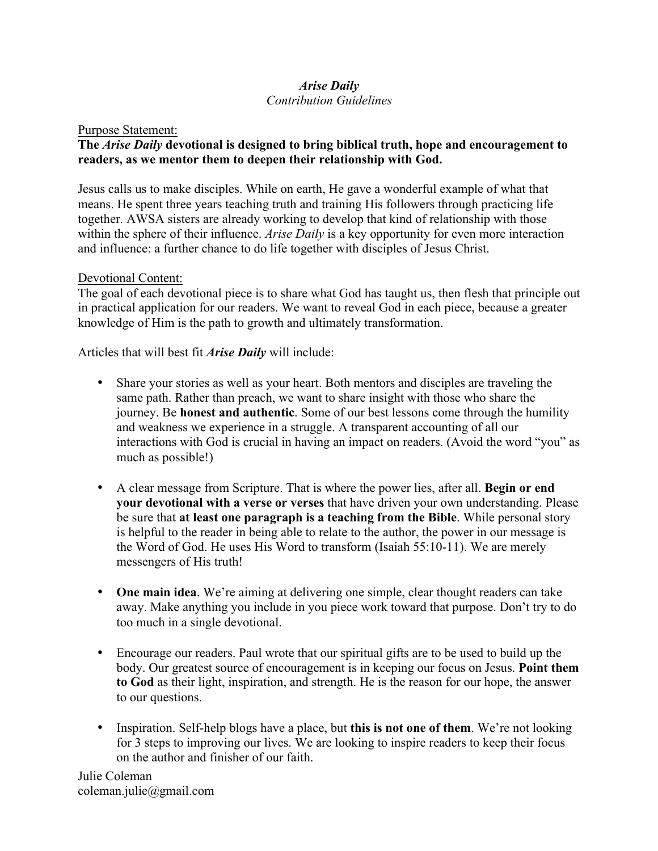# *Arise Daily*

# *Contribution Guidelines*

#### Purpose Statement:

# **The** *Arise Daily* **devotional is designed to bring biblical truth, hope and encouragement to readers, as we mentor them to deepen their relationship with God.**

Jesus calls us to make disciples. While on earth, He gave a wonderful example of what that means. He spent three years teaching truth and training His followers through practicing life together. AWSA sisters are already working to develop that kind of relationship with those within the sphere of their influence. *Arise Daily* is a key opportunity for even more interaction and influence: a further chance to do life together with disciples of Jesus Christ.

# Devotional Content:

The goal of each devotional piece is to share what God has taught us, then flesh that principle out in practical application for our readers. We want to reveal God in each piece, because a greater knowledge of Him is the path to growth and ultimately transformation.

Articles that will best fit *Arise Daily* will include:

- Share your stories as well as your heart. Both mentors and disciples are traveling the same path. Rather than preach, we want to share insight with those who share the journey. Be **honest and authentic**. Some of our best lessons come through the humility and weakness we experience in a struggle. A transparent accounting of all our interactions with God is crucial in having an impact on readers. (Avoid the word "you" as much as possible!)
- A clear message from Scripture. That is where the power lies, after all. **Begin or end your devotional with a verse or verses** that have driven your own understanding. Please be sure that **at least one paragraph is a teaching from the Bible**. While personal story is helpful to the reader in being able to relate to the author, the power in our message is the Word of God. He uses His Word to transform (Isaiah 55:10-11). We are merely messengers of His truth!
- **One main idea**. We're aiming at delivering one simple, clear thought readers can take away. Make anything you include in you piece work toward that purpose. Don't try to do too much in a single devotional.
- Encourage our readers. Paul wrote that our spiritual gifts are to be used to build up the body. Our greatest source of encouragement is in keeping our focus on Jesus. **Point them to God** as their light, inspiration, and strength. He is the reason for our hope, the answer to our questions.
- Inspiration. Self-help blogs have a place, but **this is not one of them**. We're not looking for 3 steps to improving our lives. We are looking to inspire readers to keep their focus on the author and finisher of our faith.

Julie Coleman coleman.julie@gmail.com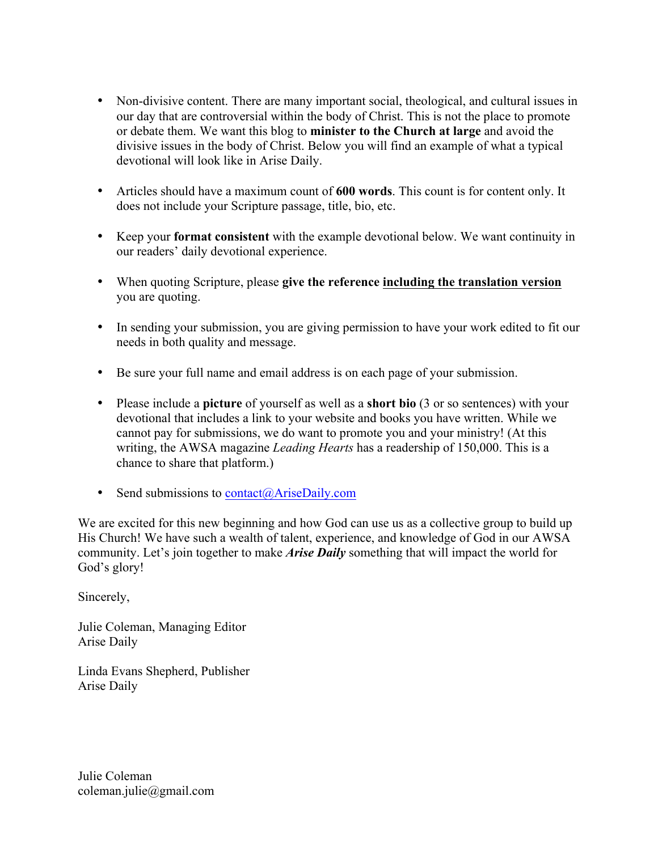- Non-divisive content. There are many important social, theological, and cultural issues in our day that are controversial within the body of Christ. This is not the place to promote or debate them. We want this blog to **minister to the Church at large** and avoid the divisive issues in the body of Christ. Below you will find an example of what a typical devotional will look like in Arise Daily.
- Articles should have a maximum count of **600 words**. This count is for content only. It does not include your Scripture passage, title, bio, etc.
- Keep your **format consistent** with the example devotional below. We want continuity in our readers' daily devotional experience.
- When quoting Scripture, please **give the reference including the translation version** you are quoting.
- In sending your submission, you are giving permission to have your work edited to fit our needs in both quality and message.
- Be sure your full name and email address is on each page of your submission.
- Please include a **picture** of yourself as well as a **short bio** (3 or so sentences) with your devotional that includes a link to your website and books you have written. While we cannot pay for submissions, we do want to promote you and your ministry! (At this writing, the AWSA magazine *Leading Hearts* has a readership of 150,000. This is a chance to share that platform.)
- Send submissions to  $contact(\hat{\omega} AirseDaily.com)$

We are excited for this new beginning and how God can use us as a collective group to build up His Church! We have such a wealth of talent, experience, and knowledge of God in our AWSA community. Let's join together to make *Arise Daily* something that will impact the world for God's glory!

Sincerely,

Julie Coleman, Managing Editor Arise Daily

Linda Evans Shepherd, Publisher Arise Daily

Julie Coleman coleman.julie@gmail.com